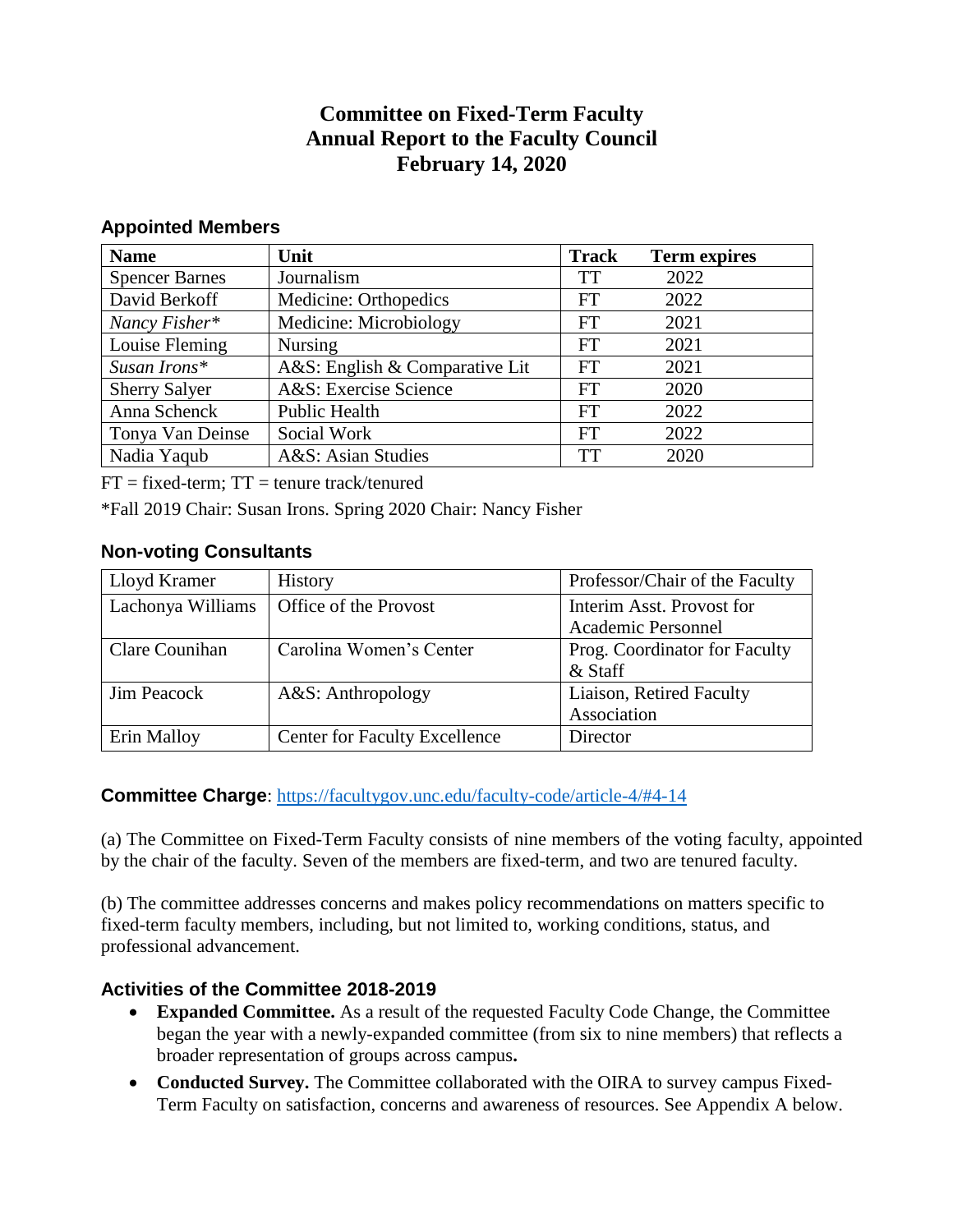# **Committee on Fixed-Term Faculty Annual Report to the Faculty Council February 14, 2020**

### **Appointed Members**

| <b>Name</b>           | Unit                           | <b>Track</b> | <b>Term expires</b> |
|-----------------------|--------------------------------|--------------|---------------------|
| <b>Spencer Barnes</b> | Journalism                     | <b>TT</b>    | 2022                |
| David Berkoff         | Medicine: Orthopedics          | FT           | 2022                |
| Nancy Fisher*         | Medicine: Microbiology         | FT           | 2021                |
| Louise Fleming        | <b>Nursing</b>                 | <b>FT</b>    | 2021                |
| Susan Irons*          | A&S: English & Comparative Lit | <b>FT</b>    | 2021                |
| <b>Sherry Salyer</b>  | A&S: Exercise Science          | FT           | 2020                |
| Anna Schenck          | <b>Public Health</b>           | FT           | 2022                |
| Tonya Van Deinse      | Social Work                    | FT           | 2022                |
| Nadia Yaqub           | A&S: Asian Studies             | TT           | 2020                |

 $FT = fixed-term$ :  $TT = t$ enure track/tenured

\*Fall 2019 Chair: Susan Irons. Spring 2020 Chair: Nancy Fisher

### **Non-voting Consultants**

| Lloyd Kramer       | <b>History</b>                       | Professor/Chair of the Faculty                  |
|--------------------|--------------------------------------|-------------------------------------------------|
| Lachonya Williams  | Office of the Provost                | Interim Asst. Provost for<br>Academic Personnel |
| Clare Counihan     | Carolina Women's Center              | Prog. Coordinator for Faculty<br>& Staff        |
| <b>Jim Peacock</b> | A&S: Anthropology                    | Liaison, Retired Faculty<br>Association         |
| Erin Malloy        | <b>Center for Faculty Excellence</b> | Director                                        |

### **Committee Charge**:<https://facultygov.unc.edu/faculty-code/article-4/#4-14>

(a) The Committee on Fixed-Term Faculty consists of nine members of the voting faculty, appointed by the chair of the faculty. Seven of the members are fixed-term, and two are tenured faculty.

(b) The committee addresses concerns and makes policy recommendations on matters specific to fixed-term faculty members, including, but not limited to, working conditions, status, and professional advancement.

### **Activities of the Committee 2018-2019**

- **Expanded Committee.** As a result of the requested Faculty Code Change, the Committee began the year with a newly-expanded committee (from six to nine members) that reflects a broader representation of groups across campus**.**
- Conducted Survey. The Committee collaborated with the OIRA to survey campus Fixed-Term Faculty on satisfaction, concerns and awareness of resources. See Appendix A below.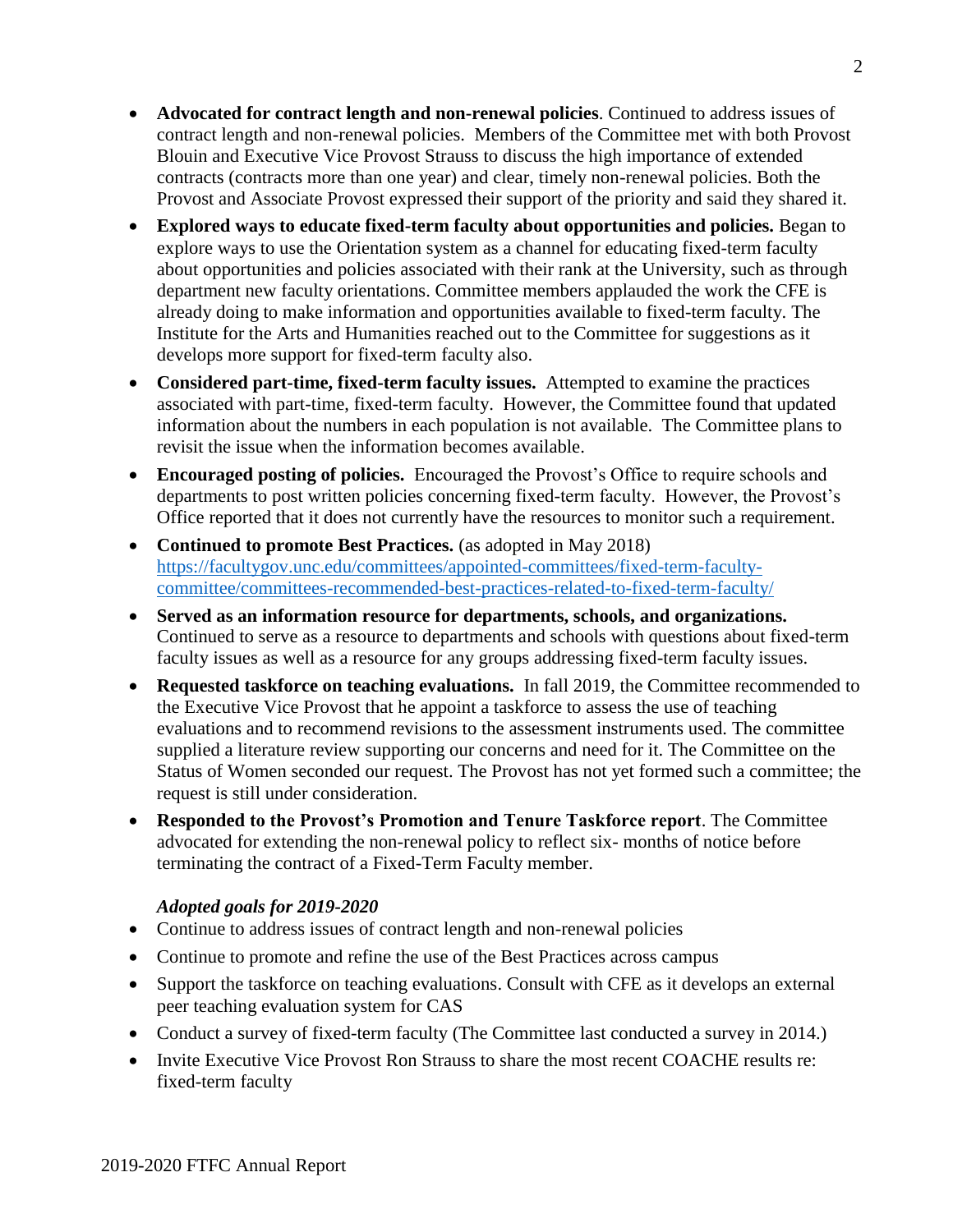- **Advocated for contract length and non-renewal policies**. Continued to address issues of contract length and non-renewal policies. Members of the Committee met with both Provost Blouin and Executive Vice Provost Strauss to discuss the high importance of extended contracts (contracts more than one year) and clear, timely non-renewal policies. Both the Provost and Associate Provost expressed their support of the priority and said they shared it.
- **Explored ways to educate fixed-term faculty about opportunities and policies.** Began to explore ways to use the Orientation system as a channel for educating fixed-term faculty about opportunities and policies associated with their rank at the University, such as through department new faculty orientations. Committee members applauded the work the CFE is already doing to make information and opportunities available to fixed-term faculty. The Institute for the Arts and Humanities reached out to the Committee for suggestions as it develops more support for fixed-term faculty also.
- **Considered part-time, fixed-term faculty issues.** Attempted to examine the practices associated with part-time, fixed-term faculty. However, the Committee found that updated information about the numbers in each population is not available. The Committee plans to revisit the issue when the information becomes available.
- **Encouraged posting of policies.** Encouraged the Provost's Office to require schools and departments to post written policies concerning fixed-term faculty. However, the Provost's Office reported that it does not currently have the resources to monitor such a requirement.
- **Continued to promote Best Practices.** (as adopted in May 2018) [https://facultygov.unc.edu/committees/appointed-committees/fixed-term-faculty](https://facultygov.unc.edu/committees/appointed-committees/fixed-term-faculty-committee/committees-recommended-best-practices-related-to-fixed-term-faculty/)[committee/committees-recommended-best-practices-related-to-fixed-term-faculty/](https://facultygov.unc.edu/committees/appointed-committees/fixed-term-faculty-committee/committees-recommended-best-practices-related-to-fixed-term-faculty/)
- **Served as an information resource for departments, schools, and organizations.** Continued to serve as a resource to departments and schools with questions about fixed-term faculty issues as well as a resource for any groups addressing fixed-term faculty issues.
- **Requested taskforce on teaching evaluations.** In fall 2019, the Committee recommended to the Executive Vice Provost that he appoint a taskforce to assess the use of teaching evaluations and to recommend revisions to the assessment instruments used. The committee supplied a literature review supporting our concerns and need for it. The Committee on the Status of Women seconded our request. The Provost has not yet formed such a committee; the request is still under consideration.
- **Responded to the Provost's Promotion and Tenure Taskforce report**. The Committee advocated for extending the non-renewal policy to reflect six- months of notice before terminating the contract of a Fixed-Term Faculty member.

### *Adopted goals for 2019-2020*

- Continue to address issues of contract length and non-renewal policies
- Continue to promote and refine the use of the Best Practices across campus
- Support the taskforce on teaching evaluations. Consult with CFE as it develops an external peer teaching evaluation system for CAS
- Conduct a survey of fixed-term faculty (The Committee last conducted a survey in 2014.)
- Invite Executive Vice Provost Ron Strauss to share the most recent COACHE results re: fixed-term faculty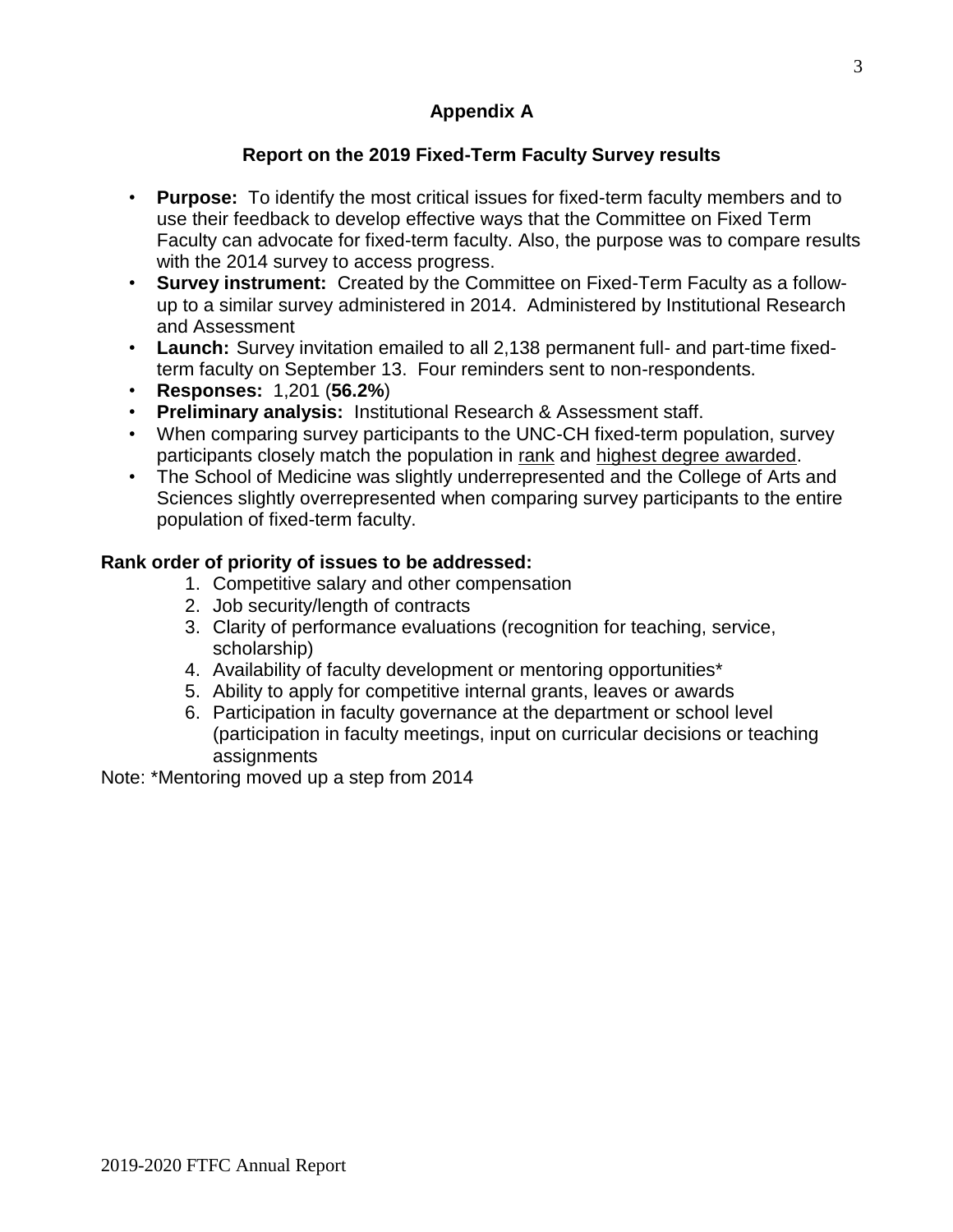# **Appendix A**

# **Report on the 2019 Fixed-Term Faculty Survey results**

- **Purpose:** To identify the most critical issues for fixed-term faculty members and to use their feedback to develop effective ways that the Committee on Fixed Term Faculty can advocate for fixed-term faculty. Also, the purpose was to compare results with the 2014 survey to access progress.
- **Survey instrument:** Created by the Committee on Fixed-Term Faculty as a followup to a similar survey administered in 2014. Administered by Institutional Research and Assessment
- **Launch:** Survey invitation emailed to all 2,138 permanent full- and part-time fixedterm faculty on September 13. Four reminders sent to non-respondents.
- **Responses:** 1,201 (**56.2%**)
- **Preliminary analysis:** Institutional Research & Assessment staff.
- When comparing survey participants to the UNC-CH fixed-term population, survey participants closely match the population in rank and highest degree awarded.
- The School of Medicine was slightly underrepresented and the College of Arts and Sciences slightly overrepresented when comparing survey participants to the entire population of fixed-term faculty.

### **Rank order of priority of issues to be addressed:**

- 1. Competitive salary and other compensation
- 2. Job security/length of contracts
- 3. Clarity of performance evaluations (recognition for teaching, service, scholarship)
- 4. Availability of faculty development or mentoring opportunities\*
- 5. Ability to apply for competitive internal grants, leaves or awards
- 6. Participation in faculty governance at the department or school level (participation in faculty meetings, input on curricular decisions or teaching assignments

Note: \*Mentoring moved up a step from 2014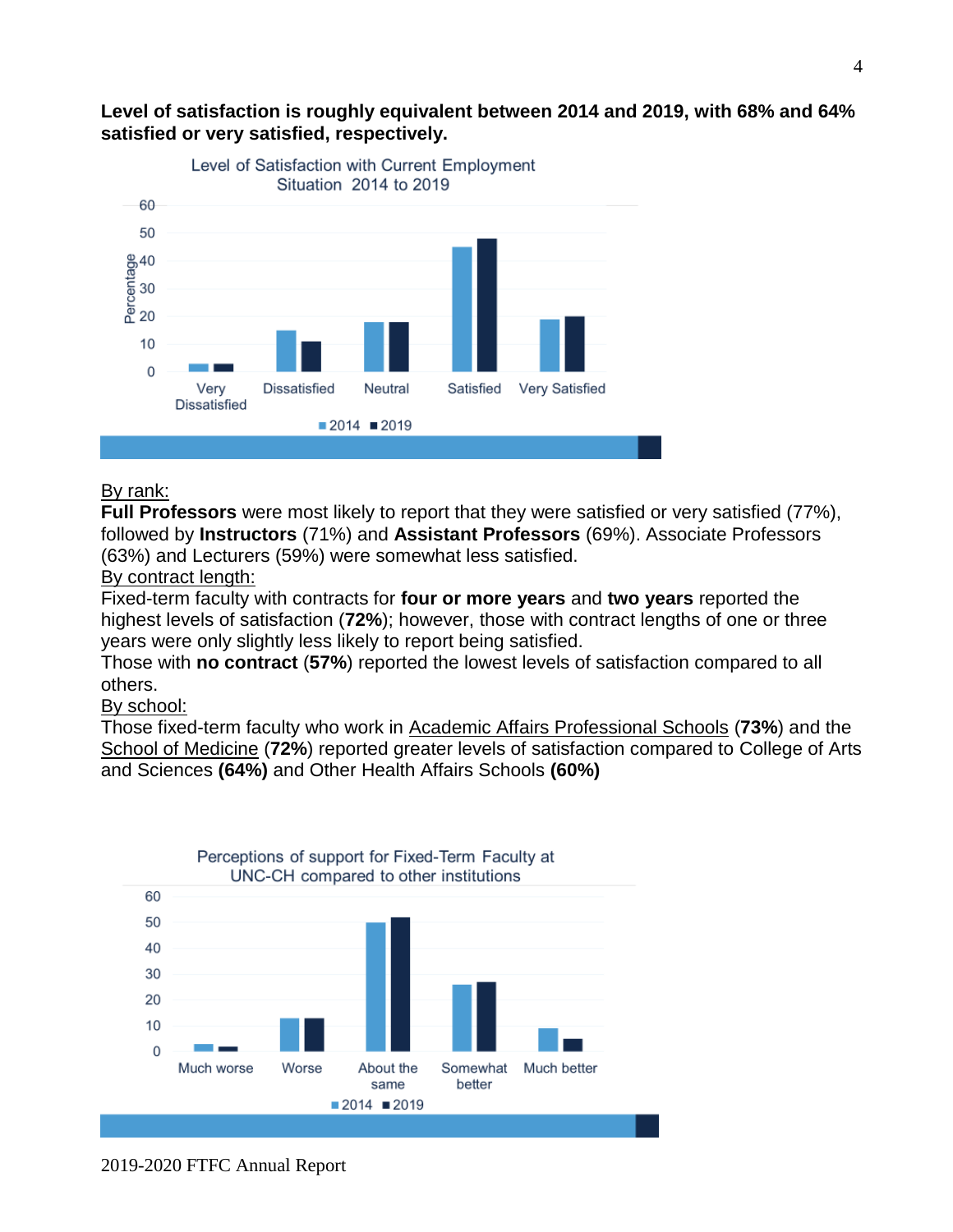

# **Level of satisfaction is roughly equivalent between 2014 and 2019, with 68% and 64% satisfied or very satisfied, respectively.**

#### By rank:

**Full Professors** were most likely to report that they were satisfied or very satisfied (77%), followed by **Instructors** (71%) and **Assistant Professors** (69%). Associate Professors (63%) and Lecturers (59%) were somewhat less satisfied.

#### By contract length:

Fixed-term faculty with contracts for **four or more years** and **two years** reported the highest levels of satisfaction (**72%**); however, those with contract lengths of one or three years were only slightly less likely to report being satisfied.

Those with **no contract** (**57%**) reported the lowest levels of satisfaction compared to all others.

### By school:

Those fixed-term faculty who work in Academic Affairs Professional Schools (**73%**) and the School of Medicine (**72%**) reported greater levels of satisfaction compared to College of Arts and Sciences **(64%)** and Other Health Affairs Schools **(60%)**



2019-2020 FTFC Annual Report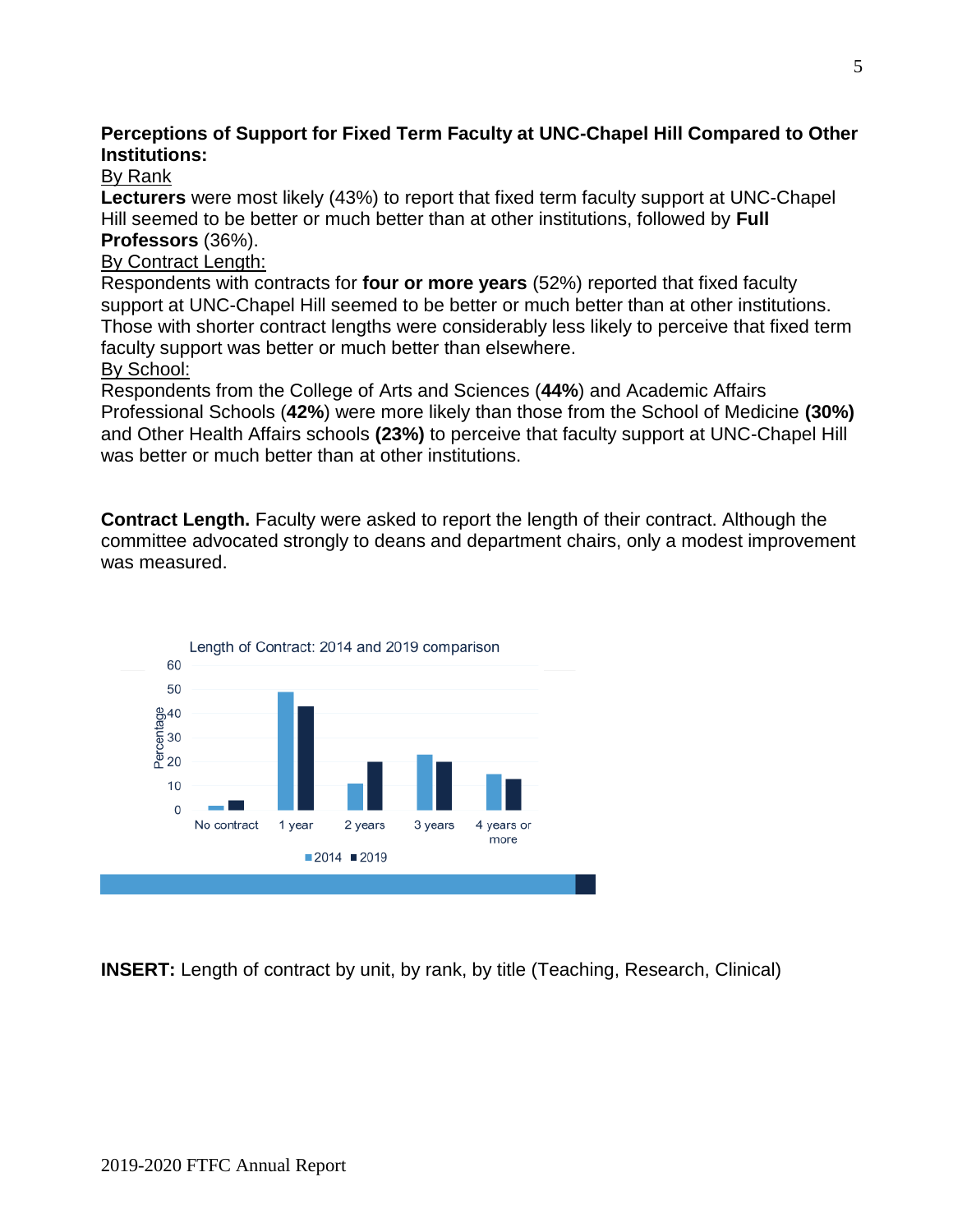# **Perceptions of Support for Fixed Term Faculty at UNC-Chapel Hill Compared to Other Institutions:**

# By Rank

**Lecturers** were most likely (43%) to report that fixed term faculty support at UNC-Chapel Hill seemed to be better or much better than at other institutions, followed by **Full Professors** (36%).

# By Contract Length:

Respondents with contracts for **four or more years** (52%) reported that fixed faculty support at UNC-Chapel Hill seemed to be better or much better than at other institutions. Those with shorter contract lengths were considerably less likely to perceive that fixed term faculty support was better or much better than elsewhere.

## By School:

Respondents from the College of Arts and Sciences (**44%**) and Academic Affairs Professional Schools (**42%**) were more likely than those from the School of Medicine **(30%)**  and Other Health Affairs schools **(23%)** to perceive that faculty support at UNC-Chapel Hill was better or much better than at other institutions.

**Contract Length.** Faculty were asked to report the length of their contract. Although the committee advocated strongly to deans and department chairs, only a modest improvement was measured.



**INSERT:** Length of contract by unit, by rank, by title (Teaching, Research, Clinical)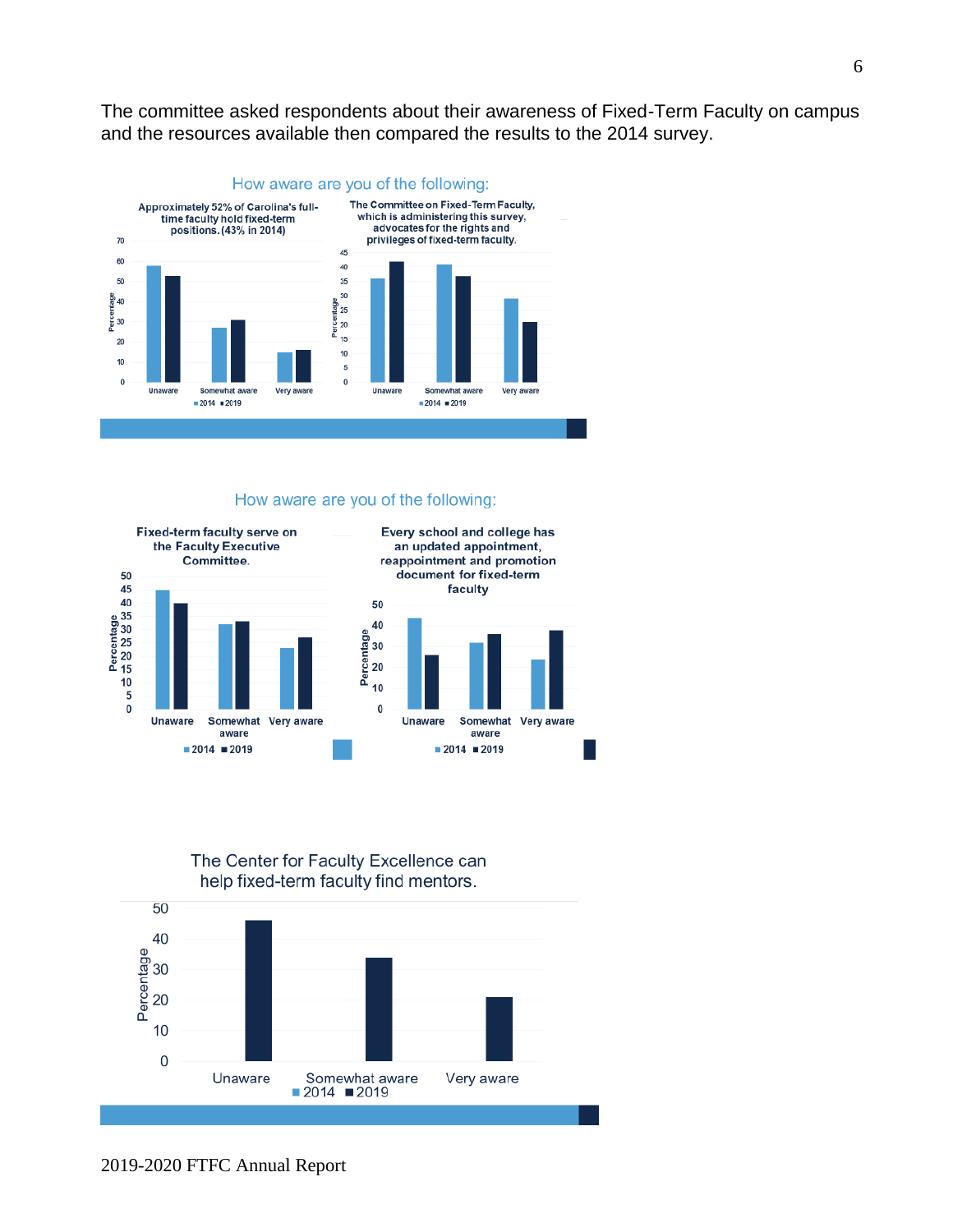The committee asked respondents about their awareness of Fixed-Term Faculty on campus and the resources available then compared the results to the 2014 survey.



#### How aware are you of the following:



#### The Center for Faculty Excellence can help fixed-term faculty find mentors.